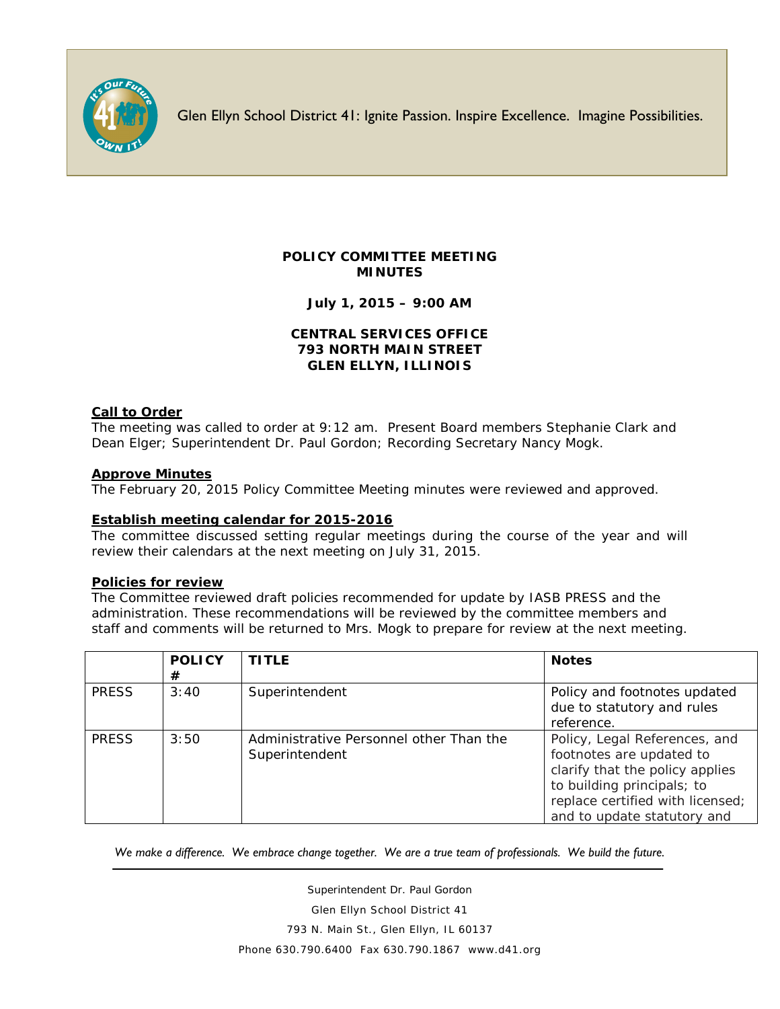

Glen Ellyn School District 41: Ignite Passion. Inspire Excellence. Imagine Possibilities.

# **POLICY COMMITTEE MEETING MINUTES**

**July 1, 2015 – 9:00 AM**

### **CENTRAL SERVICES OFFICE 793 NORTH MAIN STREET GLEN ELLYN, ILLINOIS**

### **Call to Order**

The meeting was called to order at 9:12 am. Present Board members Stephanie Clark and Dean Elger; Superintendent Dr. Paul Gordon; Recording Secretary Nancy Mogk.

### **Approve Minutes**

The February 20, 2015 Policy Committee Meeting minutes were reviewed and approved.

### **Establish meeting calendar for 2015-2016**

The committee discussed setting regular meetings during the course of the year and will review their calendars at the next meeting on July 31, 2015.

### **Policies for review**

The Committee reviewed draft policies recommended for update by IASB PRESS and the administration. These recommendations will be reviewed by the committee members and staff and comments will be returned to Mrs. Mogk to prepare for review at the next meeting.

|              | <b>POLICY</b><br># | <b>TITLE</b>                                              | <b>Notes</b>                                                                                                                                                                                  |
|--------------|--------------------|-----------------------------------------------------------|-----------------------------------------------------------------------------------------------------------------------------------------------------------------------------------------------|
| <b>PRESS</b> | 3:40               | Superintendent                                            | Policy and footnotes updated<br>due to statutory and rules<br>reference.                                                                                                                      |
| <b>PRESS</b> | 3:50               | Administrative Personnel other Than the<br>Superintendent | Policy, Legal References, and<br>footnotes are updated to<br>clarify that the policy applies<br>to building principals; to<br>replace certified with licensed;<br>and to update statutory and |

*We make a difference. We embrace change together. We are a true team of professionals. We build the future.*

Superintendent Dr. Paul Gordon Glen Ellyn School District 41 793 N. Main St., Glen Ellyn, IL 60137 Phone 630.790.6400 Fax 630.790.1867 www.d41.org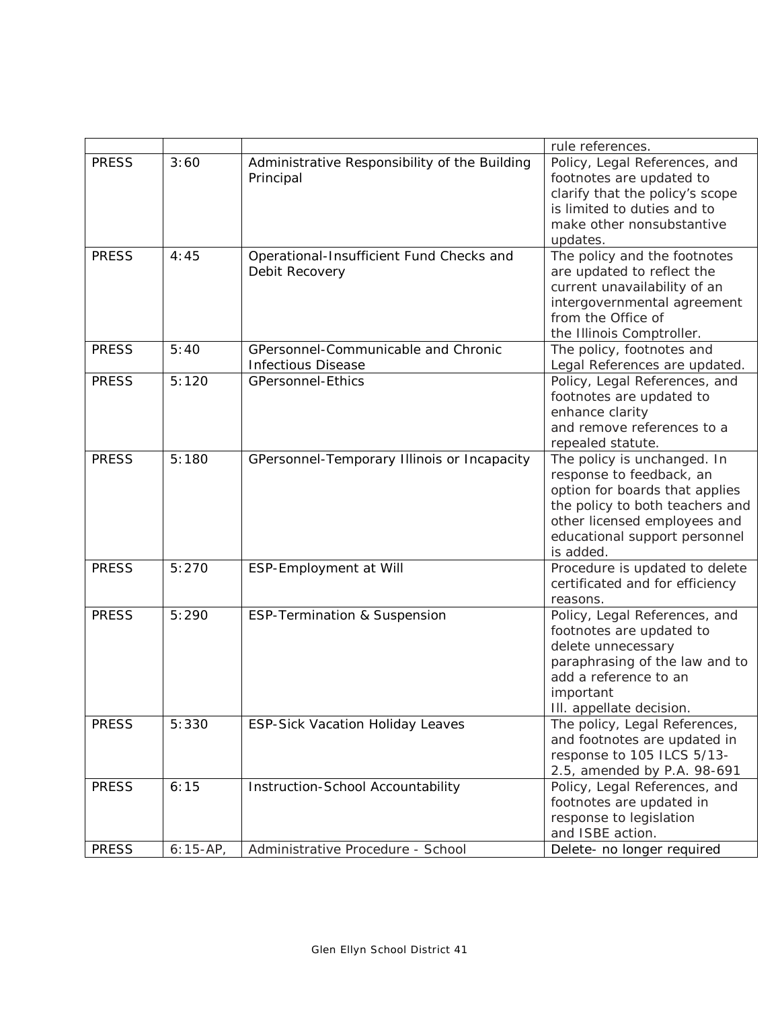|              |            |                                               | rule references.                                          |
|--------------|------------|-----------------------------------------------|-----------------------------------------------------------|
| <b>PRESS</b> | 3:60       | Administrative Responsibility of the Building | Policy, Legal References, and                             |
|              |            | Principal                                     | footnotes are updated to                                  |
|              |            |                                               | clarify that the policy's scope                           |
|              |            |                                               | is limited to duties and to                               |
|              |            |                                               | make other nonsubstantive                                 |
|              |            |                                               | updates.                                                  |
| <b>PRESS</b> | 4:45       | Operational-Insufficient Fund Checks and      | The policy and the footnotes                              |
|              |            | Debit Recovery                                | are updated to reflect the                                |
|              |            |                                               | current unavailability of an                              |
|              |            |                                               | intergovernmental agreement                               |
|              |            |                                               | from the Office of                                        |
|              |            |                                               | the Illinois Comptroller.                                 |
| <b>PRESS</b> | 5:40       | GPersonnel-Communicable and Chronic           | The policy, footnotes and                                 |
|              |            | <b>Infectious Disease</b>                     | Legal References are updated.                             |
| <b>PRESS</b> | 5:120      | <b>GPersonnel-Ethics</b>                      | Policy, Legal References, and                             |
|              |            |                                               | footnotes are updated to                                  |
|              |            |                                               | enhance clarity                                           |
|              |            |                                               | and remove references to a                                |
|              |            |                                               | repealed statute.                                         |
| <b>PRESS</b> | 5:180      | GPersonnel-Temporary Illinois or Incapacity   | The policy is unchanged. In                               |
|              |            |                                               | response to feedback, an                                  |
|              |            |                                               | option for boards that applies                            |
|              |            |                                               | the policy to both teachers and                           |
|              |            |                                               | other licensed employees and                              |
|              |            |                                               | educational support personnel                             |
|              |            |                                               | is added.                                                 |
| <b>PRESS</b> | 5:270      | ESP-Employment at Will                        | Procedure is updated to delete                            |
|              |            |                                               | certificated and for efficiency                           |
|              |            |                                               | reasons.                                                  |
| <b>PRESS</b> | 5:290      | <b>ESP-Termination &amp; Suspension</b>       |                                                           |
|              |            |                                               | Policy, Legal References, and<br>footnotes are updated to |
|              |            |                                               |                                                           |
|              |            |                                               | delete unnecessary                                        |
|              |            |                                               | paraphrasing of the law and to<br>add a reference to an   |
|              |            |                                               |                                                           |
|              |            |                                               | important                                                 |
|              |            |                                               | III. appellate decision.                                  |
| <b>PRESS</b> | 5:330      | <b>ESP-Sick Vacation Holiday Leaves</b>       | The policy, Legal References,                             |
|              |            |                                               | and footnotes are updated in                              |
|              |            |                                               | response to 105 ILCS 5/13-                                |
|              |            |                                               | 2.5, amended by P.A. 98-691                               |
| <b>PRESS</b> | 6:15       | Instruction-School Accountability             | Policy, Legal References, and                             |
|              |            |                                               | footnotes are updated in                                  |
|              |            |                                               | response to legislation                                   |
|              |            |                                               | and ISBE action.                                          |
| <b>PRESS</b> | $6:15-AP,$ | Administrative Procedure - School             | Delete- no longer required                                |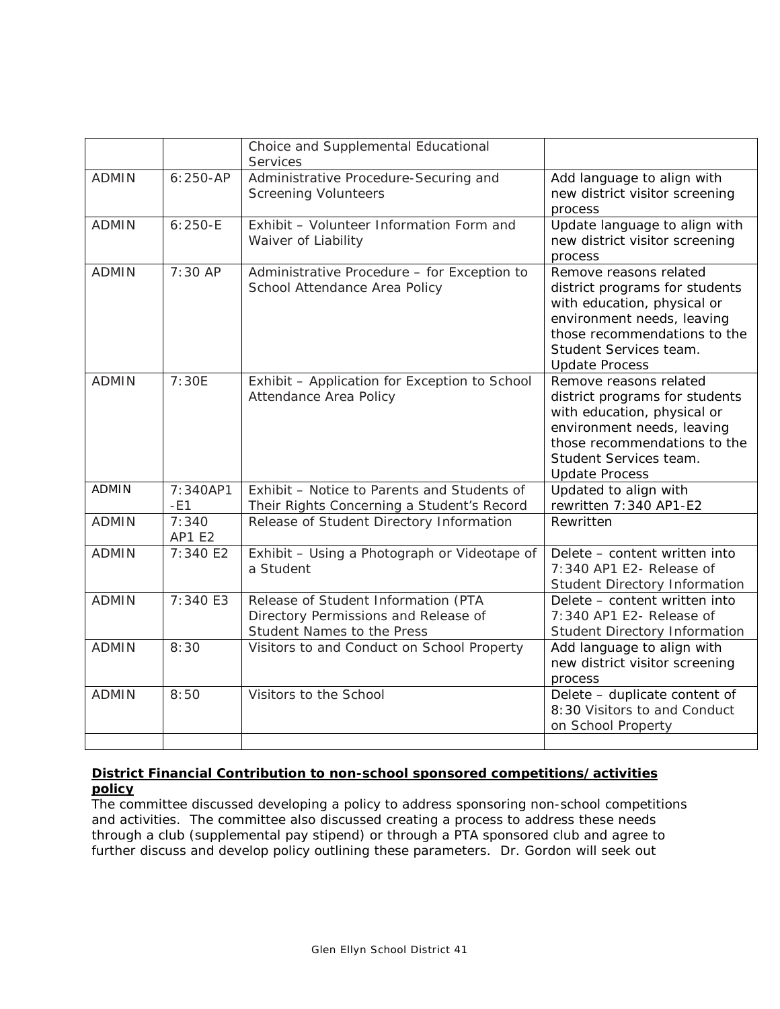|              |                         | Choice and Supplemental Educational<br>Services                                                           |                                                                                                                                                                                                          |
|--------------|-------------------------|-----------------------------------------------------------------------------------------------------------|----------------------------------------------------------------------------------------------------------------------------------------------------------------------------------------------------------|
| <b>ADMIN</b> | $6:250-AP$              | Administrative Procedure-Securing and<br><b>Screening Volunteers</b>                                      | Add language to align with<br>new district visitor screening<br>process                                                                                                                                  |
| <b>ADMIN</b> | $6:250 - E$             | Exhibit - Volunteer Information Form and<br>Waiver of Liability                                           | Update language to align with<br>new district visitor screening<br>process                                                                                                                               |
| <b>ADMIN</b> | 7:30 AP                 | Administrative Procedure - for Exception to<br>School Attendance Area Policy                              | Remove reasons related<br>district programs for students<br>with education, physical or<br>environment needs, leaving<br>those recommendations to the<br>Student Services team.<br><b>Update Process</b> |
| <b>ADMIN</b> | 7:30E                   | Exhibit - Application for Exception to School<br>Attendance Area Policy                                   | Remove reasons related<br>district programs for students<br>with education, physical or<br>environment needs, leaving<br>those recommendations to the<br>Student Services team.<br><b>Update Process</b> |
| <b>ADMIN</b> | 7:340AP1<br>$-E1$       | Exhibit - Notice to Parents and Students of<br>Their Rights Concerning a Student's Record                 | Updated to align with<br>rewritten 7:340 AP1-E2                                                                                                                                                          |
| <b>ADMIN</b> | 7:340<br><b>AP1 E2</b>  | Release of Student Directory Information                                                                  | Rewritten                                                                                                                                                                                                |
| <b>ADMIN</b> | 7:340 E2                | Exhibit - Using a Photograph or Videotape of<br>a Student                                                 | Delete - content written into<br>7:340 AP1 E2- Release of<br>Student Directory Information                                                                                                               |
| <b>ADMIN</b> | $\overline{7}$ : 340 E3 | Release of Student Information (PTA<br>Directory Permissions and Release of<br>Student Names to the Press | Delete - content written into<br>7:340 AP1 E2- Release of<br><b>Student Directory Information</b>                                                                                                        |
| <b>ADMIN</b> | 8:30                    | Visitors to and Conduct on School Property                                                                | Add language to align with<br>new district visitor screening<br>process                                                                                                                                  |
| <b>ADMIN</b> | 8:50                    | Visitors to the School                                                                                    | Delete - duplicate content of<br>8:30 Visitors to and Conduct<br>on School Property                                                                                                                      |

# **District Financial Contribution to non-school sponsored competitions/activities policy**

The committee discussed developing a policy to address sponsoring non-school competitions and activities. The committee also discussed creating a process to address these needs through a club (supplemental pay stipend) or through a PTA sponsored club and agree to further discuss and develop policy outlining these parameters. Dr. Gordon will seek out